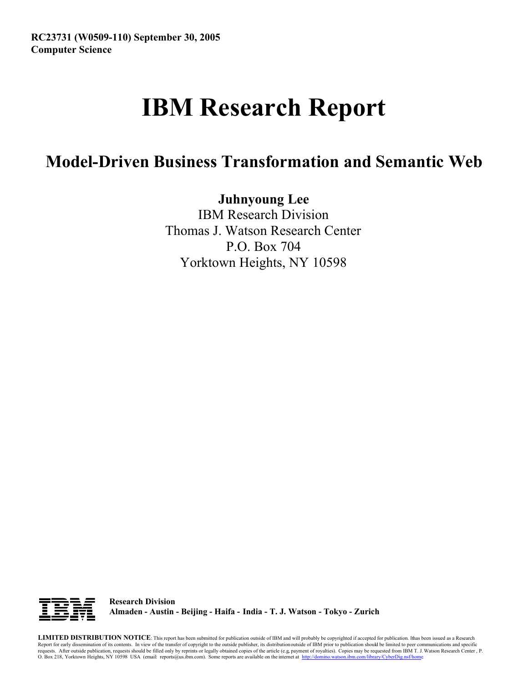## **IBM Research Report**

## **Model-Driven Business Transformation and Semantic Web**

**Juhnyoung Lee**

IBM Research Division Thomas J. Watson Research Center P.O. Box 704 Yorktown Heights, NY 10598



**Research Division Almaden - Austin - Beijing - Haifa - India - T. J. Watson - Tokyo - Zurich**

**LIMITED DISTRIBUTION NOTICE**: This report has been submitted for publication outside of IBM and will probably be copyrighted if accepted for publication. I has been issued as a Research t Report for early dissemination of its contents. In view of the transfer of copyright to the outside publisher, its distribution outside of IBM prior to publication should be limited to peer communications and specific requests. After outside publication, requests should be filled only by reprints or legally obtained copies of the article (e.g. payment of royalties). Copies may be requested from IBM T. J. Watson Research Center , P.<br>O. B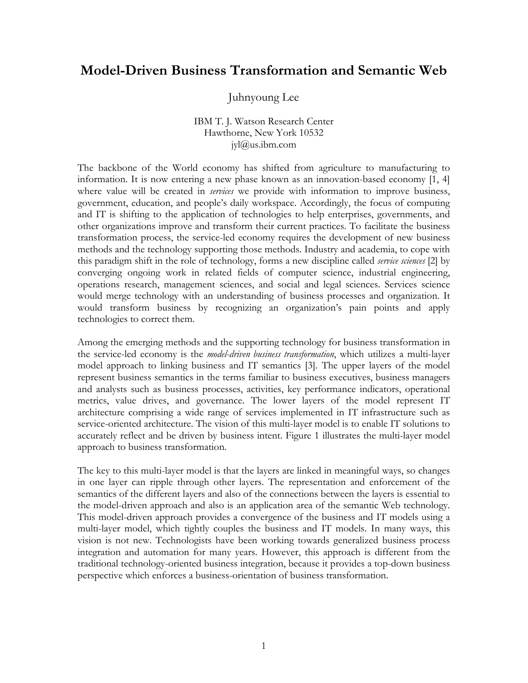## **Model-Driven Business Transformation and Semantic Web**

Juhnyoung Lee

IBM T. J. Watson Research Center Hawthorne, New York 10532 jyl@us.ibm.com

The backbone of the World economy has shifted from agriculture to manufacturing to information. It is now entering a new phase known as an innovation-based economy [1, 4] where value will be created in *services* we provide with information to improve business, government, education, and people's daily workspace. Accordingly, the focus of computing and IT is shifting to the application of technologies to help enterprises, governments, and other organizations improve and transform their current practices. To facilitate the business transformation process, the service-led economy requires the development of new business methods and the technology supporting those methods. Industry and academia, to cope with this paradigm shift in the role of technology, forms a new discipline called *service sciences* [2] by converging ongoing work in related fields of computer science, industrial engineering, operations research, management sciences, and social and legal sciences. Services science would merge technology with an understanding of business processes and organization. It would transform business by recognizing an organization's pain points and apply technologies to correct them.

Among the emerging methods and the supporting technology for business transformation in the service-led economy is the *model-driven business transformation*, which utilizes a multi-layer model approach to linking business and IT semantics [3]. The upper layers of the model represent business semantics in the terms familiar to business executives, business managers and analysts such as business processes, activities, key performance indicators, operational metrics, value drives, and governance. The lower layers of the model represent IT architecture comprising a wide range of services implemented in IT infrastructure such as service-oriented architecture. The vision of this multi-layer model is to enable IT solutions to accurately reflect and be driven by business intent. Figure 1 illustrates the multi-layer model approach to business transformation.

The key to this multi-layer model is that the layers are linked in meaningful ways, so changes in one layer can ripple through other layers. The representation and enforcement of the semantics of the different layers and also of the connections between the layers is essential to the model-driven approach and also is an application area of the semantic Web technology. This model-driven approach provides a convergence of the business and IT models using a multi-layer model, which tightly couples the business and IT models. In many ways, this vision is not new. Technologists have been working towards generalized business process integration and automation for many years. However, this approach is different from the traditional technology-oriented business integration, because it provides a top-down business perspective which enforces a business-orientation of business transformation.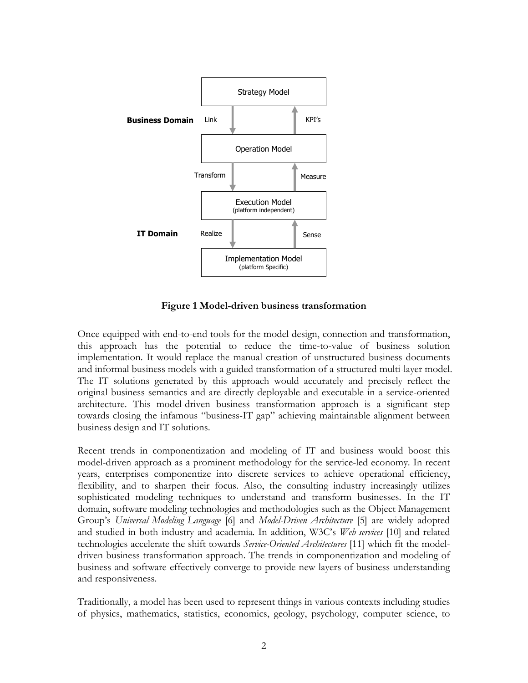

**Figure 1 Model-driven business transformation**

Once equipped with end-to-end tools for the model design, connection and transformation, this approach has the potential to reduce the time-to-value of business solution implementation. It would replace the manual creation of unstructured business documents and informal business models with a guided transformation of a structured multi-layer model. The IT solutions generated by this approach would accurately and precisely reflect the original business semantics and are directly deployable and executable in a service-oriented architecture. This model-driven business transformation approach is a significant step towards closing the infamous "business-IT gap" achieving maintainable alignment between business design and IT solutions.

Recent trends in componentization and modeling of IT and business would boost this model-driven approach as a prominent methodology for the service-led economy. In recent years, enterprises componentize into discrete services to achieve operational efficiency, flexibility, and to sharpen their focus. Also, the consulting industry increasingly utilizes sophisticated modeling techniques to understand and transform businesses. In the IT domain, software modeling technologies and methodologies such as the Object Management Group's *Universal Modeling Language* [6] and *Model-Driven Architecture* [5] are widely adopted and studied in both industry and academia. In addition, W3C's *Web services* [10] and related technologies accelerate the shift towards *Service-Oriented Architectures* [11] which fit the modeldriven business transformation approach. The trends in componentization and modeling of business and software effectively converge to provide new layers of business understanding and responsiveness.

Traditionally, a model has been used to represent things in various contexts including studies of physics, mathematics, statistics, economics, geology, psychology, computer science, to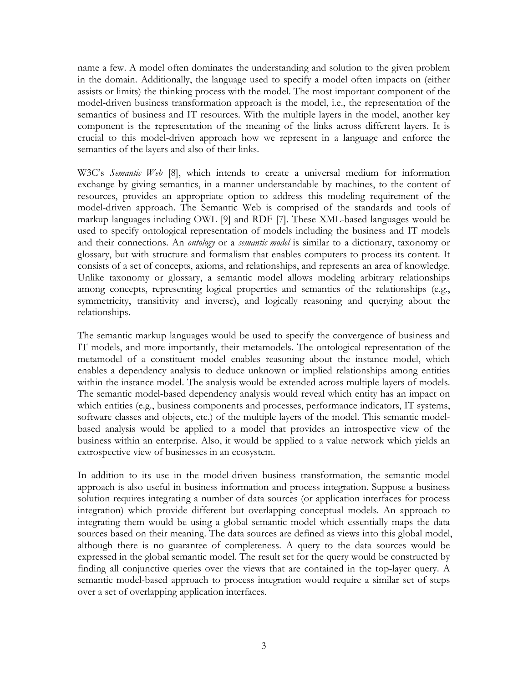name a few. A model often dominates the understanding and solution to the given problem in the domain. Additionally, the language used to specify a model often impacts on (either assists or limits) the thinking process with the model. The most important component of the model-driven business transformation approach is the model, i.e., the representation of the semantics of business and IT resources. With the multiple layers in the model, another key component is the representation of the meaning of the links across different layers. It is crucial to this model-driven approach how we represent in a language and enforce the semantics of the layers and also of their links.

W3C's *Semantic Web* [8], which intends to create a universal medium for information exchange by giving semantics, in a manner understandable by machines, to the content of resources, provides an appropriate option to address this modeling requirement of the model-driven approach. The Semantic Web is comprised of the standards and tools of markup languages including OWL [9] and RDF [7]. These XML-based languages would be used to specify ontological representation of models including the business and IT models and their connections. An *ontology* or a *semantic model* is similar to a dictionary, taxonomy or glossary, but with structure and formalism that enables computers to process its content. It consists of a set of concepts, axioms, and relationships, and represents an area of knowledge. Unlike taxonomy or glossary, a semantic model allows modeling arbitrary relationships among concepts, representing logical properties and semantics of the relationships (e.g., symmetricity, transitivity and inverse), and logically reasoning and querying about the relationships.

The semantic markup languages would be used to specify the convergence of business and IT models, and more importantly, their metamodels. The ontological representation of the metamodel of a constituent model enables reasoning about the instance model, which enables a dependency analysis to deduce unknown or implied relationships among entities within the instance model. The analysis would be extended across multiple layers of models. The semantic model-based dependency analysis would reveal which entity has an impact on which entities (e.g., business components and processes, performance indicators, IT systems, software classes and objects, etc.) of the multiple layers of the model. This semantic modelbased analysis would be applied to a model that provides an introspective view of the business within an enterprise. Also, it would be applied to a value network which yields an extrospective view of businesses in an ecosystem.

In addition to its use in the model-driven business transformation, the semantic model approach is also useful in business information and process integration. Suppose a business solution requires integrating a number of data sources (or application interfaces for process integration) which provide different but overlapping conceptual models. An approach to integrating them would be using a global semantic model which essentially maps the data sources based on their meaning. The data sources are defined as views into this global model, although there is no guarantee of completeness. A query to the data sources would be expressed in the global semantic model. The result set for the query would be constructed by finding all conjunctive queries over the views that are contained in the top-layer query. A semantic model-based approach to process integration would require a similar set of steps over a set of overlapping application interfaces.